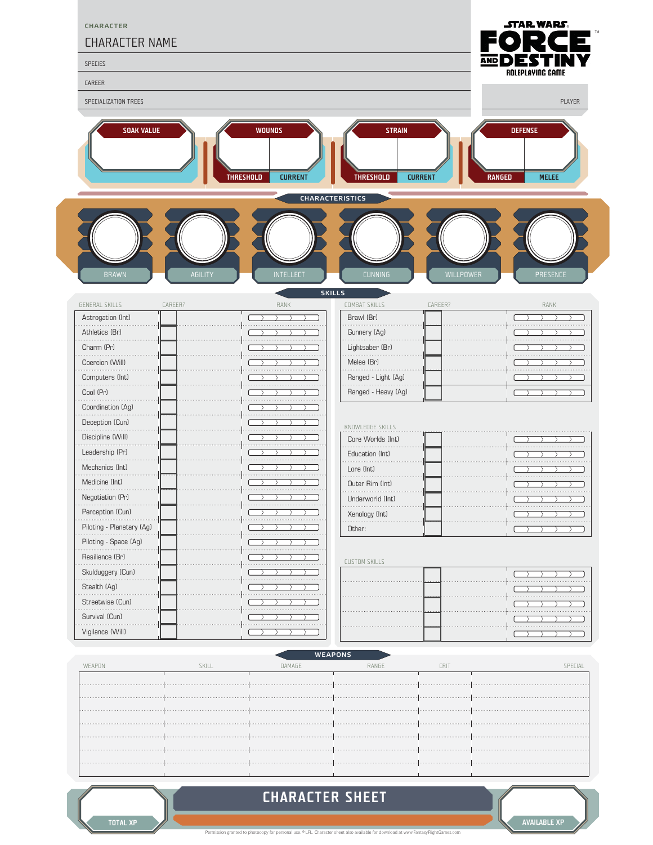

## **CHARACTER SHEET**

ted to photocopy for personal use. <sup>©</sup> LFL. Character sheet also available for download at www.FantasyFlightG

**AVAILABLE XP**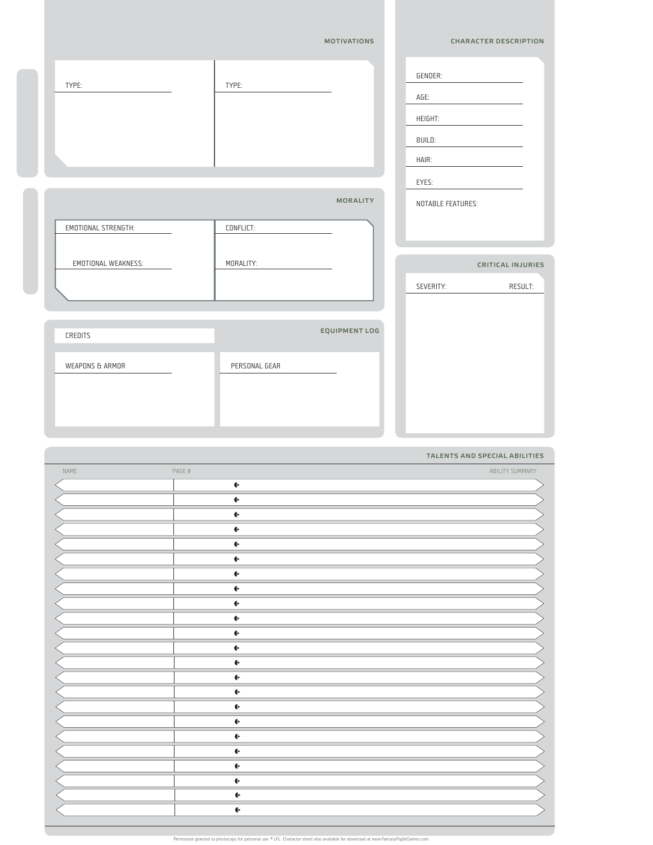|               |                    | <b>CHARACTER DESCRIPTION</b>     |
|---------------|--------------------|----------------------------------|
| TYPE:         | GENDER:<br>AGE:    |                                  |
|               | HEIGHT:            |                                  |
|               | BUILD:             |                                  |
|               | HAIR:              |                                  |
|               | EYES:              |                                  |
|               |                    | NOTABLE FEATURES:                |
| CONFLICT:     |                    |                                  |
| MORALITY:     |                    | <b>CRITICAL INJURIES</b>         |
|               | SEVERITY:          | RESULT:                          |
|               |                    |                                  |
|               |                    |                                  |
| PERSONAL GEAR |                    |                                  |
|               |                    |                                  |
|               |                    |                                  |
|               | <b>MOTIVATIONS</b> | MORALITY<br><b>EQUIPMENT LOG</b> |

|      |        |                 | TALENTS AND SPECIAL ABILITIES |
|------|--------|-----------------|-------------------------------|
| NAME | PAGE # |                 | ABILITY SUMMARY               |
|      |        | $\blacklozenge$ |                               |
|      |        | $\blacklozenge$ |                               |
|      |        | $\blacklozenge$ |                               |
|      |        | $\blacklozenge$ |                               |
|      |        | $\blacklozenge$ |                               |
|      |        | $\blacklozenge$ |                               |
|      |        | $\blacklozenge$ |                               |
|      |        | $\blacklozenge$ |                               |
|      |        | $\blacklozenge$ |                               |
|      |        | $\blacklozenge$ |                               |
|      |        | $\blacklozenge$ |                               |
|      |        | $\blacklozenge$ |                               |
|      |        | $\blacklozenge$ |                               |
|      |        | $\blacklozenge$ |                               |
|      |        | $\blacklozenge$ |                               |
|      |        | $\blacklozenge$ |                               |
|      |        | $\blacklozenge$ |                               |
|      |        | ←               |                               |
|      |        | $\blacklozenge$ |                               |
|      |        | $\blacklozenge$ |                               |
|      |        | $\blacklozenge$ |                               |
|      |        | $\blacklozenge$ |                               |
|      |        | $\blacklozenge$ |                               |

opy for personal use. © LFL. Character sheet also available for do